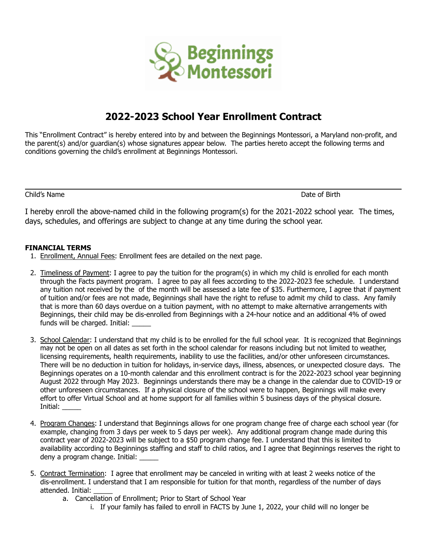

## **2022-2023 School Year Enrollment Contract**

This "Enrollment Contract" is hereby entered into by and between the Beginnings Montessori, a Maryland non-profit, and the parent(s) and/or guardian(s) whose signatures appear below. The parties hereto accept the following terms and conditions governing the child's enrollment at Beginnings Montessori.

Child's Name Date of Birth

I hereby enroll the above-named child in the following program(s) for the 2021-2022 school year. The times, days, schedules, and offerings are subject to change at any time during the school year.

## **FINANCIAL TERMS**

- 1. Enrollment, Annual Fees: Enrollment fees are detailed on the next page.
- 2. Timeliness of Payment: I agree to pay the tuition for the program(s) in which my child is enrolled for each month through the Facts payment program. I agree to pay all fees according to the 2022-2023 fee schedule. I understand any tuition not received by the of the month will be assessed a late fee of \$35. Furthermore, I agree that if payment of tuition and/or fees are not made, Beginnings shall have the right to refuse to admit my child to class. Any family that is more than 60 days overdue on a tuition payment, with no attempt to make alternative arrangements with Beginnings, their child may be dis-enrolled from Beginnings with a 24-hour notice and an additional 4% of owed funds will be charged. Initial:
- 3. School Calendar: I understand that my child is to be enrolled for the full school year. It is recognized that Beginnings may not be open on all dates as set forth in the school calendar for reasons including but not limited to weather, licensing requirements, health requirements, inability to use the facilities, and/or other unforeseen circumstances. There will be no deduction in tuition for holidays, in-service days, illness, absences, or unexpected closure days. The Beginnings operates on a 10-month calendar and this enrollment contract is for the 2022-2023 school year beginning August 2022 through May 2023. Beginnings understands there may be a change in the calendar due to COVID-19 or other unforeseen circumstances. If a physical closure of the school were to happen, Beginnings will make every effort to offer Virtual School and at home support for all families within 5 business days of the physical closure. Initial: \_\_\_\_\_
- 4. Program Changes: I understand that Beginnings allows for one program change free of charge each school year (for example, changing from 3 days per week to 5 days per week). Any additional program change made during this contract year of 2022-2023 will be subject to a \$50 program change fee. I understand that this is limited to availability according to Beginnings staffing and staff to child ratios, and I agree that Beginnings reserves the right to deny a program change. Initial:
- 5. Contract Termination: I agree that enrollment may be canceled in writing with at least 2 weeks notice of the dis-enrollment. I understand that I am responsible for tuition for that month, regardless of the number of days attended. Initial:
	- a. Cancellation of Enrollment; Prior to Start of School Year
		- i. If your family has failed to enroll in FACTS by June 1, 2022, your child will no longer be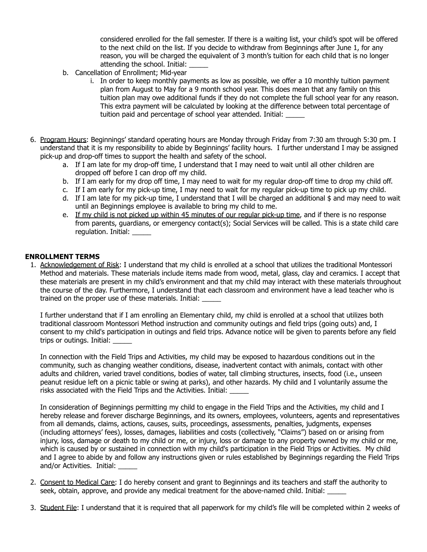considered enrolled for the fall semester. If there is a waiting list, your child's spot will be offered to the next child on the list. If you decide to withdraw from Beginnings after June 1, for any reason, you will be charged the equivalent of 3 month's tuition for each child that is no longer attending the school. Initial:

- b. Cancellation of Enrollment; Mid-year
	- i. In order to keep monthly payments as low as possible, we offer a 10 monthly tuition payment plan from August to May for a 9 month school year. This does mean that any family on this tuition plan may owe additional funds if they do not complete the full school year for any reason. This extra payment will be calculated by looking at the difference between total percentage of tuition paid and percentage of school year attended. Initial:
- 6. Program Hours: Beginnings' standard operating hours are Monday through Friday from 7:30 am through 5:30 pm. I understand that it is my responsibility to abide by Beginnings' facility hours. I further understand I may be assigned pick-up and drop-off times to support the health and safety of the school.
	- a. If I am late for my drop-off time, I understand that I may need to wait until all other children are dropped off before I can drop off my child.
	- b. If I am early for my drop off time, I may need to wait for my regular drop-off time to drop my child off.
	- c. If I am early for my pick-up time, I may need to wait for my regular pick-up time to pick up my child.
	- d. If I am late for my pick-up time, I understand that I will be charged an additional  $$$  and may need to wait until an Beginnings employee is available to bring my child to me.
	- e. If my child is not picked up within 45 minutes of our regular pick-up time, and if there is no response from parents, guardians, or emergency contact(s); Social Services will be called. This is a state child care regulation. Initial:

## **ENROLLMENT TERMS**

1. Acknowledgement of Risk: I understand that my child is enrolled at a school that utilizes the traditional Montessori Method and materials. These materials include items made from wood, metal, glass, clay and ceramics. I accept that these materials are present in my child's environment and that my child may interact with these materials throughout the course of the day. Furthermore, I understand that each classroom and environment have a lead teacher who is trained on the proper use of these materials. Initial:

I further understand that if I am enrolling an Elementary child, my child is enrolled at a school that utilizes both traditional classroom Montessori Method instruction and community outings and field trips (going outs) and, I consent to my child's participation in outings and field trips. Advance notice will be given to parents before any field trips or outings. Initial: \_\_\_\_\_

In connection with the Field Trips and Activities, my child may be exposed to hazardous conditions out in the community, such as changing weather conditions, disease, inadvertent contact with animals, contact with other adults and children, varied travel conditions, bodies of water, tall climbing structures, insects, food (i.e., unseen peanut residue left on a picnic table or swing at parks), and other hazards. My child and I voluntarily assume the risks associated with the Field Trips and the Activities. Initial: \_\_\_\_\_

In consideration of Beginnings permitting my child to engage in the Field Trips and the Activities, my child and I hereby release and forever discharge Beginnings, and its owners, employees, volunteers, agents and representatives from all demands, claims, actions, causes, suits, proceedings, assessments, penalties, judgments, expenses (including attorneys' fees), losses, damages, liabilities and costs (collectively, "Claims") based on or arising from injury, loss, damage or death to my child or me, or injury, loss or damage to any property owned by my child or me, which is caused by or sustained in connection with my child's participation in the Field Trips or Activities. My child and I agree to abide by and follow any instructions given or rules established by Beginnings regarding the Field Trips and/or Activities. Initial:

- 2. Consent to Medical Care: I do hereby consent and grant to Beginnings and its teachers and staff the authority to seek, obtain, approve, and provide any medical treatment for the above-named child. Initial:
- 3. Student File: I understand that it is required that all paperwork for my child's file will be completed within 2 weeks of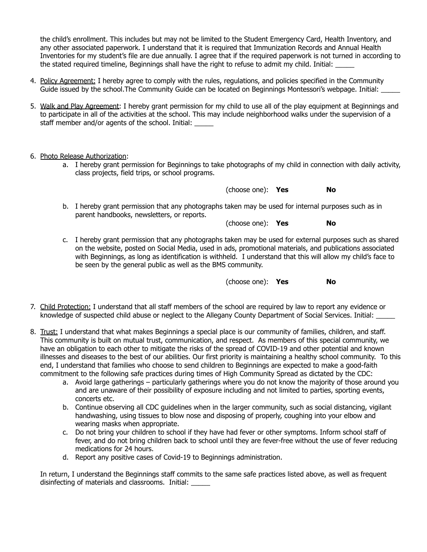the child's enrollment. This includes but may not be limited to the Student Emergency Card, Health Inventory, and any other associated paperwork. I understand that it is required that Immunization Records and Annual Health Inventories for my student's file are due annually. I agree that if the required paperwork is not turned in according to the stated required timeline, Beginnings shall have the right to refuse to admit my child. Initial:

- 4. Policy Agreement: I hereby agree to comply with the rules, regulations, and policies specified in the Community Guide issued by the school. The Community Guide can be located on Beginnings Montessori's webpage. Initial:
- 5. Walk and Play Agreement: I hereby grant permission for my child to use all of the play equipment at Beginnings and to participate in all of the activities at the school. This may include neighborhood walks under the supervision of a staff member and/or agents of the school. Initial:
- 6. Photo Release Authorization:
	- a. I hereby grant permission for Beginnings to take photographs of my child in connection with daily activity, class projects, field trips, or school programs.

(choose one): **Yes No**

b. I hereby grant permission that any photographs taken may be used for internal purposes such as in parent handbooks, newsletters, or reports.

(choose one): **Yes No**

c. I hereby grant permission that any photographs taken may be used for external purposes such as shared on the website, posted on Social Media, used in ads, promotional materials, and publications associated with Beginnings, as long as identification is withheld. I understand that this will allow my child's face to be seen by the general public as well as the BMS community.

(choose one): **Yes No**

- 7. Child Protection: I understand that all staff members of the school are required by law to report any evidence or knowledge of suspected child abuse or neglect to the Allegany County Department of Social Services. Initial: \_\_\_\_\_
- 8. Trust: I understand that what makes Beginnings a special place is our community of families, children, and staff. This community is built on mutual trust, communication, and respect. As members of this special community, we have an obligation to each other to mitigate the risks of the spread of COVID-19 and other potential and known illnesses and diseases to the best of our abilities. Our first priority is maintaining a healthy school community. To this end, I understand that families who choose to send children to Beginnings are expected to make a good-faith commitment to the following safe practices during times of High Community Spread as dictated by the CDC:
	- a. Avoid large gatherings particularly gatherings where you do not know the majority of those around you and are unaware of their possibility of exposure including and not limited to parties, sporting events, concerts etc.
	- b. Continue observing all CDC guidelines when in the larger community, such as social distancing, vigilant handwashing, using tissues to blow nose and disposing of properly, coughing into your elbow and wearing masks when appropriate.
	- c. Do not bring your children to school if they have had fever or other symptoms. Inform school staff of fever, and do not bring children back to school until they are fever-free without the use of fever reducing medications for 24 hours.
	- d. Report any positive cases of Covid-19 to Beginnings administration.

In return, I understand the Beginnings staff commits to the same safe practices listed above, as well as frequent disinfecting of materials and classrooms. Initial: \_\_\_\_\_